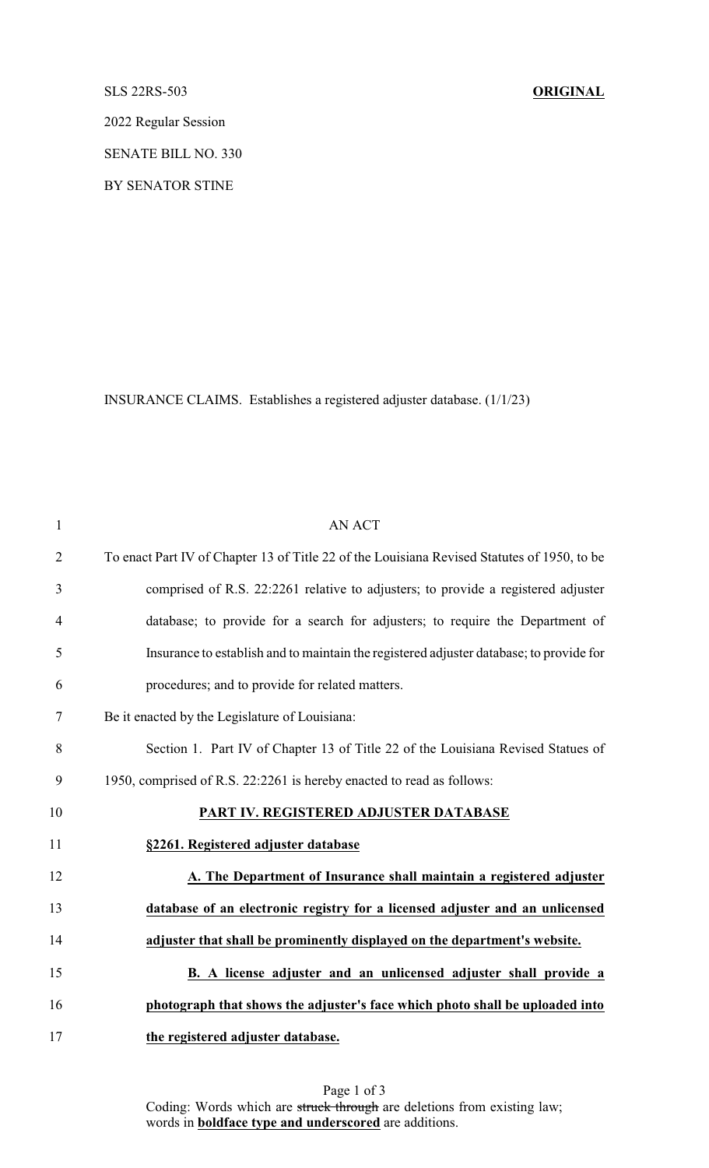## SLS 22RS-503 **ORIGINAL**

2022 Regular Session

SENATE BILL NO. 330

BY SENATOR STINE

INSURANCE CLAIMS. Establishes a registered adjuster database. (1/1/23)

| $\mathbf{1}$   | <b>AN ACT</b>                                                                               |
|----------------|---------------------------------------------------------------------------------------------|
| $\overline{2}$ | To enact Part IV of Chapter 13 of Title 22 of the Louisiana Revised Statutes of 1950, to be |
| 3              | comprised of R.S. 22:2261 relative to adjusters; to provide a registered adjuster           |
| $\overline{4}$ | database; to provide for a search for adjusters; to require the Department of               |
| 5              | Insurance to establish and to maintain the registered adjuster database; to provide for     |
| 6              | procedures; and to provide for related matters.                                             |
| $\tau$         | Be it enacted by the Legislature of Louisiana:                                              |
| 8              | Section 1. Part IV of Chapter 13 of Title 22 of the Louisiana Revised Statues of            |
| 9              | 1950, comprised of R.S. 22:2261 is hereby enacted to read as follows:                       |
| 10             | PART IV. REGISTERED ADJUSTER DATABASE                                                       |
| 11             | §2261. Registered adjuster database                                                         |
| 12             | A. The Department of Insurance shall maintain a registered adjuster                         |
| 13             | database of an electronic registry for a licensed adjuster and an unlicensed                |
| 14             | adjuster that shall be prominently displayed on the department's website.                   |
| 15             | B. A license adjuster and an unlicensed adjuster shall provide a                            |
| 16             | photograph that shows the adjuster's face which photo shall be uploaded into                |
| 17             | the registered adjuster database.                                                           |

Page 1 of 3 Coding: Words which are struck through are deletions from existing law; words in **boldface type and underscored** are additions.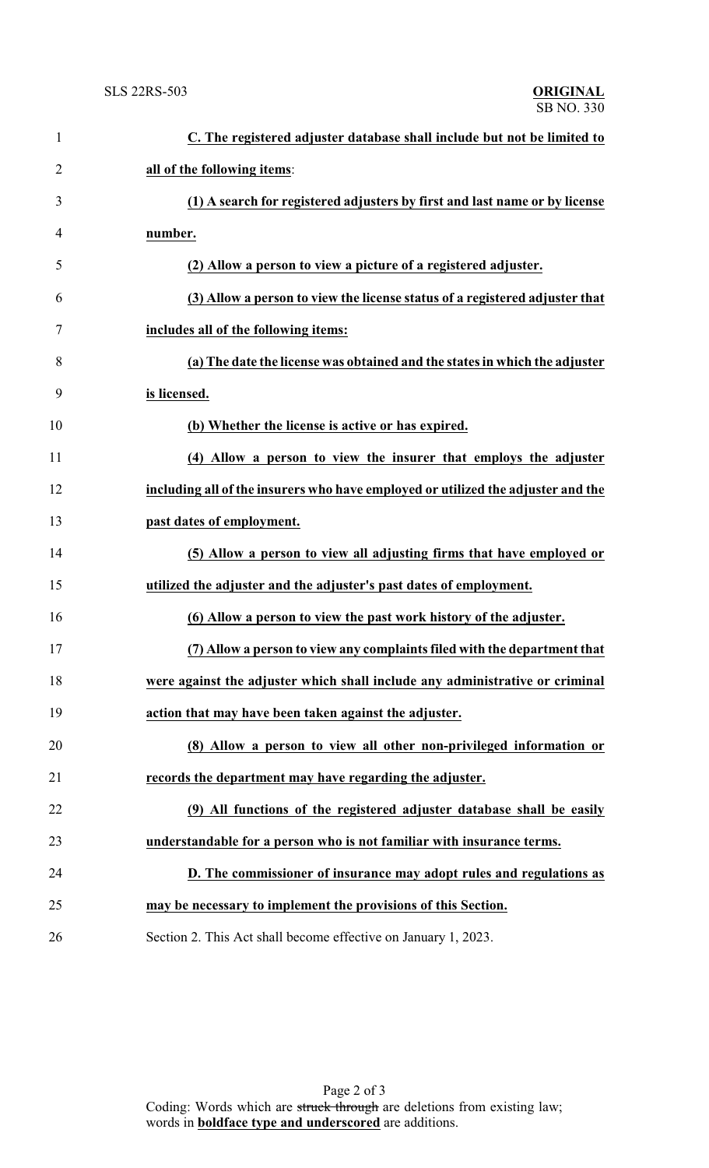| $\mathbf{1}$   | C. The registered adjuster database shall include but not be limited to          |
|----------------|----------------------------------------------------------------------------------|
| $\overline{2}$ | all of the following items:                                                      |
| 3              | (1) A search for registered adjusters by first and last name or by license       |
| 4              | number.                                                                          |
| 5              | (2) Allow a person to view a picture of a registered adjuster.                   |
| 6              | (3) Allow a person to view the license status of a registered adjuster that      |
| 7              | includes all of the following items:                                             |
| 8              | (a) The date the license was obtained and the states in which the adjuster       |
| 9              | is licensed.                                                                     |
| 10             | (b) Whether the license is active or has expired.                                |
| 11             | (4) Allow a person to view the insurer that employs the adjuster                 |
| 12             | including all of the insurers who have employed or utilized the adjuster and the |
| 13             | past dates of employment.                                                        |
| 14             | (5) Allow a person to view all adjusting firms that have employed or             |
| 15             | utilized the adjuster and the adjuster's past dates of employment.               |
| 16             | (6) Allow a person to view the past work history of the adjuster.                |
| 17             | (7) Allow a person to view any complaints filed with the department that         |
| 18             | were against the adjuster which shall include any administrative or criminal     |
| 19             | action that may have been taken against the adjuster.                            |
| 20             | (8) Allow a person to view all other non-privileged information or               |
| 21             | records the department may have regarding the adjuster.                          |
| 22             | (9) All functions of the registered adjuster database shall be easily            |
| 23             | understandable for a person who is not familiar with insurance terms.            |
| 24             | D. The commissioner of insurance may adopt rules and regulations as              |
| 25             | may be necessary to implement the provisions of this Section.                    |
| 26             | Section 2. This Act shall become effective on January 1, 2023.                   |